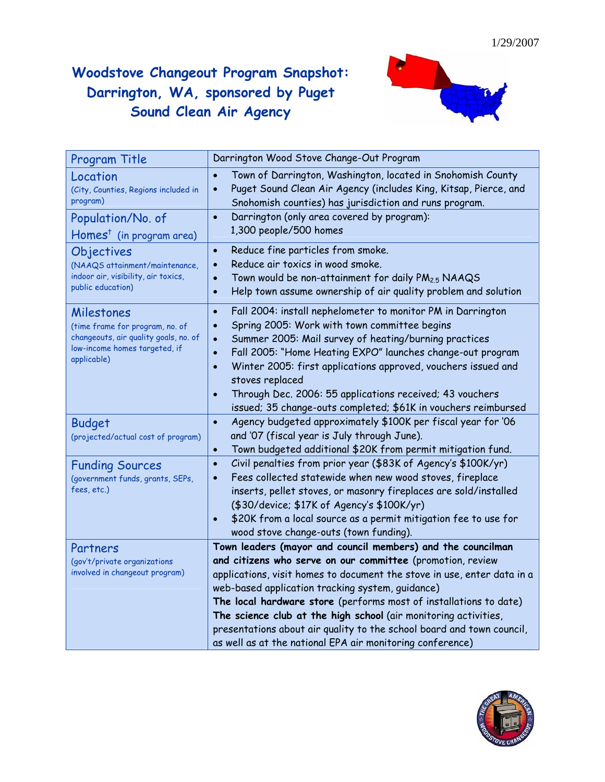## **Woodstove Changeout Program Snapshot: Darrington, WA, sponsored by Puget Sound Clean Air Agency**



| Program Title                                                                                                                          | Darrington Wood Stove Change-Out Program                                                                                                                                                                                                                                                                                                                                                                                                                                                                                           |
|----------------------------------------------------------------------------------------------------------------------------------------|------------------------------------------------------------------------------------------------------------------------------------------------------------------------------------------------------------------------------------------------------------------------------------------------------------------------------------------------------------------------------------------------------------------------------------------------------------------------------------------------------------------------------------|
| Location<br>(City, Counties, Regions included in<br>program)                                                                           | Town of Darrington, Washington, located in Snohomish County<br>$\bullet$<br>Puget Sound Clean Air Agency (includes King, Kitsap, Pierce, and<br>$\bullet$<br>Snohomish counties) has jurisdiction and runs program.                                                                                                                                                                                                                                                                                                                |
| Population/No. of<br>$Homes^{\dagger}$ (in program area)                                                                               | Darrington (only area covered by program):<br>$\bullet$<br>1,300 people/500 homes                                                                                                                                                                                                                                                                                                                                                                                                                                                  |
| Objectives<br>(NAAQS attainment/maintenance,<br>indoor air, visibility, air toxics,<br>public education)                               | Reduce fine particles from smoke.<br>$\bullet$<br>Reduce air toxics in wood smoke.<br>$\bullet$<br>Town would be non-attainment for daily PM <sub>2.5</sub> NAAQS<br>$\bullet$<br>Help town assume ownership of air quality problem and solution<br>$\bullet$                                                                                                                                                                                                                                                                      |
| Milestones<br>(time frame for program, no. of<br>changeouts, air quality goals, no. of<br>low-income homes targeted, if<br>applicable) | Fall 2004: install nephelometer to monitor PM in Darrington<br>$\bullet$<br>Spring 2005: Work with town committee begins<br>$\bullet$<br>Summer 2005: Mail survey of heating/burning practices<br>$\bullet$<br>Fall 2005: "Home Heating EXPO" launches change-out program<br>$\bullet$<br>Winter 2005: first applications approved, vouchers issued and<br>$\bullet$<br>stoves replaced<br>Through Dec. 2006: 55 applications received; 43 vouchers<br>$\bullet$<br>issued; 35 change-outs completed; \$61K in vouchers reimbursed |
| <b>Budget</b><br>(projected/actual cost of program)                                                                                    | Agency budgeted approximately \$100K per fiscal year for '06<br>$\bullet$<br>and '07 (fiscal year is July through June).<br>Town budgeted additional \$20K from permit mitigation fund.<br>$\bullet$                                                                                                                                                                                                                                                                                                                               |
| <b>Funding Sources</b><br>(government funds, grants, SEPs,<br>fees, etc.)                                                              | Civil penalties from prior year (\$83K of Agency's \$100K/yr)<br>$\bullet$<br>Fees collected statewide when new wood stoves, fireplace<br>$\bullet$<br>inserts, pellet stoves, or masonry fireplaces are sold/installed<br>(\$30/device; \$17K of Agency's \$100K/yr)<br>\$20K from a local source as a permit mitigation fee to use for<br>$\bullet$<br>wood stove change-outs (town funding).                                                                                                                                    |
| Partners<br>(gov't/private organizations<br>involved in changeout program)                                                             | Town leaders (mayor and council members) and the councilman<br>and citizens who serve on our committee (promotion, review<br>applications, visit homes to document the stove in use, enter data in a<br>web-based application tracking system, guidance)                                                                                                                                                                                                                                                                           |
|                                                                                                                                        | The local hardware store (performs most of installations to date)<br>The science club at the high school (air monitoring activities,<br>presentations about air quality to the school board and town council,<br>as well as at the national EPA air monitoring conference)                                                                                                                                                                                                                                                         |

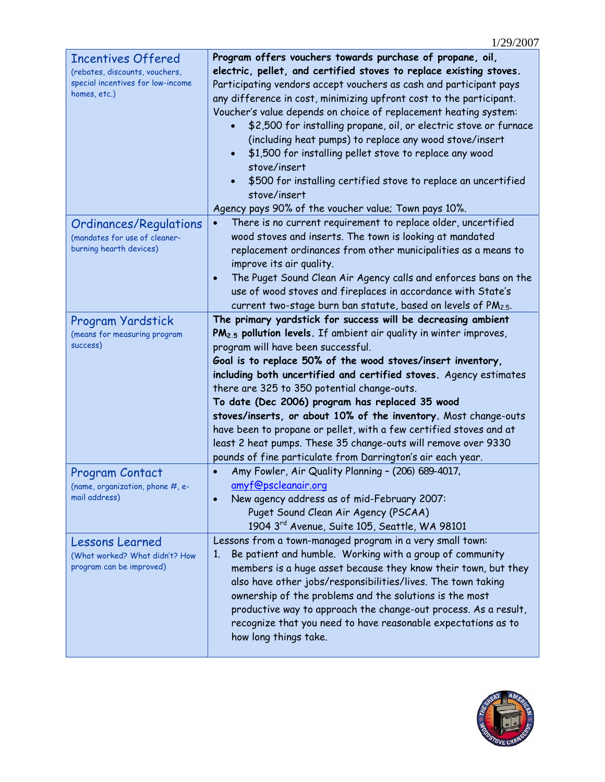| <b>Incentives Offered</b>         | Program offers vouchers towards purchase of propane, oil,                      |
|-----------------------------------|--------------------------------------------------------------------------------|
| (rebates, discounts, vouchers,    | electric, pellet, and certified stoves to replace existing stoves.             |
| special incentives for low-income | Participating vendors accept vouchers as cash and participant pays             |
| homes, etc.)                      | any difference in cost, minimizing upfront cost to the participant.            |
|                                   | Voucher's value depends on choice of replacement heating system:               |
|                                   | \$2,500 for installing propane, oil, or electric stove or furnace              |
|                                   | (including heat pumps) to replace any wood stove/insert                        |
|                                   | \$1,500 for installing pellet stove to replace any wood                        |
|                                   | stove/insert                                                                   |
|                                   | \$500 for installing certified stove to replace an uncertified<br>$\bullet$    |
|                                   | stove/insert                                                                   |
|                                   | Agency pays 90% of the voucher value; Town pays 10%.                           |
| Ordinances/Regulations            | There is no current requirement to replace older, uncertified                  |
| (mandates for use of cleaner-     | wood stoves and inserts. The town is looking at mandated                       |
| burning hearth devices)           | replacement ordinances from other municipalities as a means to                 |
|                                   | improve its air quality.                                                       |
|                                   | The Puget Sound Clean Air Agency calls and enforces bans on the<br>$\bullet$   |
|                                   | use of wood stoves and fireplaces in accordance with State's                   |
|                                   | current two-stage burn ban statute, based on levels of PM2.5.                  |
| Program Yardstick                 | The primary yardstick for success will be decreasing ambient                   |
| (means for measuring program      | PM <sub>2.5</sub> pollution levels. If ambient air quality in winter improves, |
| success)                          | program will have been successful.                                             |
|                                   | Goal is to replace 50% of the wood stoves/insert inventory,                    |
|                                   | including both uncertified and certified stoves. Agency estimates              |
|                                   | there are 325 to 350 potential change-outs.                                    |
|                                   | To date (Dec 2006) program has replaced 35 wood                                |
|                                   | stoves/inserts, or about 10% of the inventory. Most change-outs                |
|                                   | have been to propane or pellet, with a few certified stoves and at             |
|                                   | least 2 heat pumps. These 35 change-outs will remove over 9330                 |
|                                   | pounds of fine particulate from Darrington's air each year.                    |
| Program Contact                   | Amy Fowler, Air Quality Planning - (206) 689-4017,                             |
| (name, organization, phone #, e-  | amyf@pscleanair.org                                                            |
| mail address)                     | New agency address as of mid-February 2007:                                    |
|                                   | Puget Sound Clean Air Agency (PSCAA)                                           |
|                                   | 1904 3rd Avenue, Suite 105, Seattle, WA 98101                                  |
| <b>Lessons Learned</b>            | Lessons from a town-managed program in a very small town:                      |
| (What worked? What didn't? How    |                                                                                |
|                                   | Be patient and humble. Working with a group of community<br>1.                 |
| program can be improved)          | members is a huge asset because they know their town, but they                 |
|                                   | also have other jobs/responsibilities/lives. The town taking                   |
|                                   | ownership of the problems and the solutions is the most                        |
|                                   | productive way to approach the change-out process. As a result,                |
|                                   | recognize that you need to have reasonable expectations as to                  |
|                                   | how long things take.                                                          |